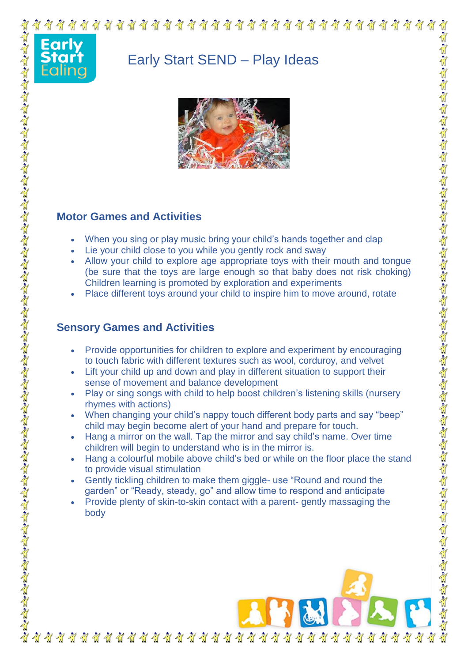# Early Start SEND – Play Ideas



### **Motor Games and Activities**

- When you sing or play music bring your child's hands together and clap
- Lie your child close to you while you gently rock and sway
- Allow your child to explore age appropriate toys with their mouth and tongue (be sure that the toys are large enough so that baby does not risk choking) Children learning is promoted by exploration and experiments
- Place different toys around your child to inspire him to move around, rotate

### **Sensory Games and Activities**

- Provide opportunities for children to explore and experiment by encouraging to touch fabric with different textures such as wool, corduroy, and velvet
- Lift your child up and down and play in different situation to support their sense of movement and balance development
- Play or sing songs with child to help boost children's listening skills (nursery rhymes with actions)
- When changing your child's nappy touch different body parts and say "beep" child may begin become alert of your hand and prepare for touch.
- Hang a mirror on the wall. Tap the mirror and say child's name. Over time children will begin to understand who is in the mirror is.
- Hang a colourful mobile above child's bed or while on the floor place the stand to provide visual stimulation
- Gently tickling children to make them giggle- use "Round and round the garden" or "Ready, steady, go" and allow time to respond and anticipate
- Provide plenty of skin-to-skin contact with a parent- gently massaging the body

arlv